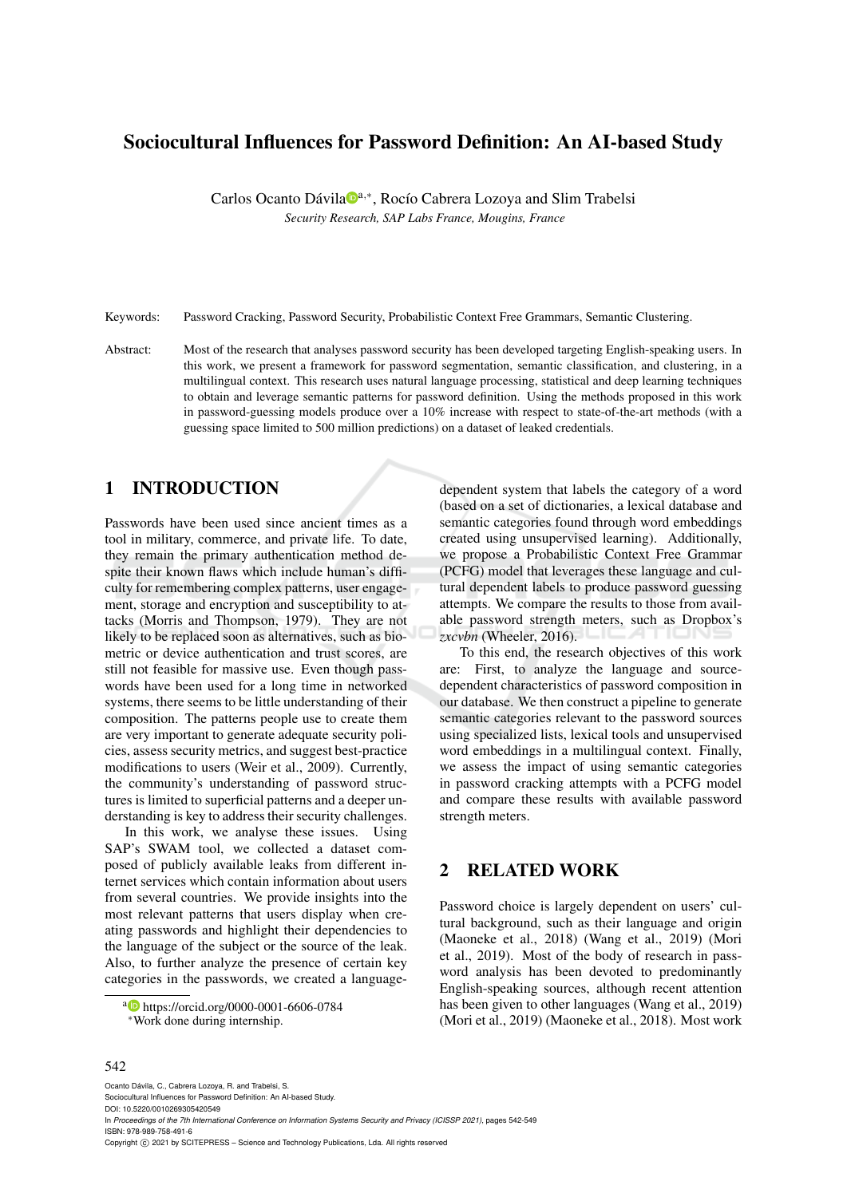# Sociocultural Influences for Password Definition: An AI-based Study

Carlos Ocanto Dávila<sup>na,\*</sup>, Rocío Cabrera Lozoya and Slim Trabelsi *Security Research, SAP Labs France, Mougins, France*

Keywords: Password Cracking, Password Security, Probabilistic Context Free Grammars, Semantic Clustering.

Abstract: Most of the research that analyses password security has been developed targeting English-speaking users. In this work, we present a framework for password segmentation, semantic classification, and clustering, in a multilingual context. This research uses natural language processing, statistical and deep learning techniques to obtain and leverage semantic patterns for password definition. Using the methods proposed in this work in password-guessing models produce over a 10% increase with respect to state-of-the-art methods (with a guessing space limited to 500 million predictions) on a dataset of leaked credentials.

### 1 INTRODUCTION

Passwords have been used since ancient times as a tool in military, commerce, and private life. To date, they remain the primary authentication method despite their known flaws which include human's difficulty for remembering complex patterns, user engagement, storage and encryption and susceptibility to attacks (Morris and Thompson, 1979). They are not likely to be replaced soon as alternatives, such as biometric or device authentication and trust scores, are still not feasible for massive use. Even though passwords have been used for a long time in networked systems, there seems to be little understanding of their composition. The patterns people use to create them are very important to generate adequate security policies, assess security metrics, and suggest best-practice modifications to users (Weir et al., 2009). Currently, the community's understanding of password structures is limited to superficial patterns and a deeper understanding is key to address their security challenges.

In this work, we analyse these issues. Using SAP's SWAM tool, we collected a dataset composed of publicly available leaks from different internet services which contain information about users from several countries. We provide insights into the most relevant patterns that users display when creating passwords and highlight their dependencies to the language of the subject or the source of the leak. Also, to further analyze the presence of certain key categories in the passwords, we created a language-

<sup>a</sup> https://orcid.org/0000-0001-6606-0784 <sup>∗</sup>Work done during internship.

dependent system that labels the category of a word (based on a set of dictionaries, a lexical database and semantic categories found through word embeddings created using unsupervised learning). Additionally, we propose a Probabilistic Context Free Grammar (PCFG) model that leverages these language and cultural dependent labels to produce password guessing attempts. We compare the results to those from available password strength meters, such as Dropbox's *zxcvbn* (Wheeler, 2016).

To this end, the research objectives of this work are: First, to analyze the language and sourcedependent characteristics of password composition in our database. We then construct a pipeline to generate semantic categories relevant to the password sources using specialized lists, lexical tools and unsupervised word embeddings in a multilingual context. Finally, we assess the impact of using semantic categories in password cracking attempts with a PCFG model and compare these results with available password strength meters.

## 2 RELATED WORK

Password choice is largely dependent on users' cultural background, such as their language and origin (Maoneke et al., 2018) (Wang et al., 2019) (Mori et al., 2019). Most of the body of research in password analysis has been devoted to predominantly English-speaking sources, although recent attention has been given to other languages (Wang et al., 2019) (Mori et al., 2019) (Maoneke et al., 2018). Most work

#### 542

Ocanto Dávila, C., Cabrera Lozoya, R. and Trabelsi, S. Sociocultural Influences for Password Definition: An AI-based Study. DOI: 10.5220/0010269305420549 In *Proceedings of the 7th International Conference on Information Systems Security and Privacy (ICISSP 2021)*, pages 542-549 ISBN: 978-989-758-491-6

Copyright © 2021 by SCITEPRESS - Science and Technology Publications, Lda. All rights reserved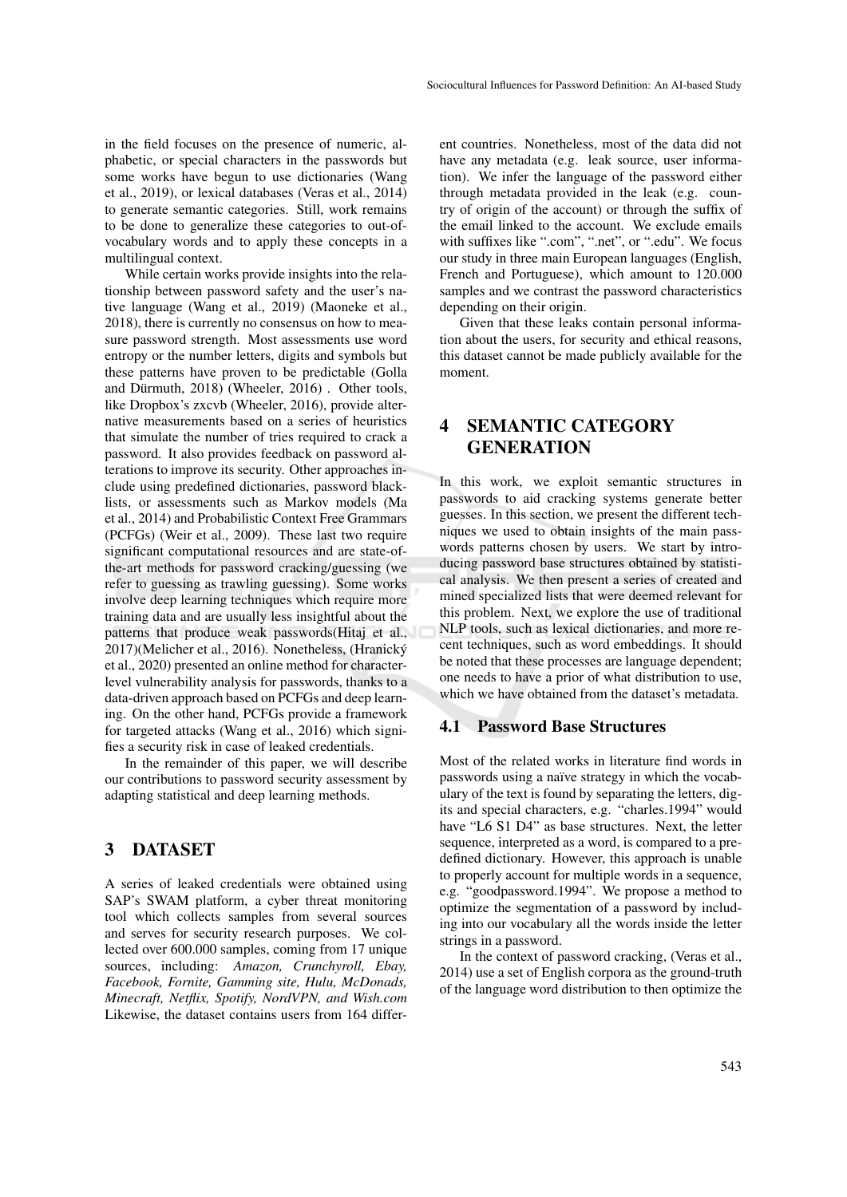in the field focuses on the presence of numeric, alphabetic, or special characters in the passwords but some works have begun to use dictionaries (Wang et al., 2019), or lexical databases (Veras et al., 2014) to generate semantic categories. Still, work remains to be done to generalize these categories to out-ofvocabulary words and to apply these concepts in a multilingual context.

While certain works provide insights into the relationship between password safety and the user's native language (Wang et al., 2019) (Maoneke et al., 2018), there is currently no consensus on how to measure password strength. Most assessments use word entropy or the number letters, digits and symbols but these patterns have proven to be predictable (Golla and Dürmuth, 2018) (Wheeler, 2016) . Other tools, like Dropbox's zxcvb (Wheeler, 2016), provide alternative measurements based on a series of heuristics that simulate the number of tries required to crack a password. It also provides feedback on password alterations to improve its security. Other approaches include using predefined dictionaries, password blacklists, or assessments such as Markov models (Ma et al., 2014) and Probabilistic Context Free Grammars (PCFGs) (Weir et al., 2009). These last two require significant computational resources and are state-ofthe-art methods for password cracking/guessing (we refer to guessing as trawling guessing). Some works involve deep learning techniques which require more training data and are usually less insightful about the patterns that produce weak passwords(Hitaj et al., 2017)(Melicher et al., 2016). Nonetheless, (Hranicky´ et al., 2020) presented an online method for characterlevel vulnerability analysis for passwords, thanks to a data-driven approach based on PCFGs and deep learning. On the other hand, PCFGs provide a framework for targeted attacks (Wang et al., 2016) which signifies a security risk in case of leaked credentials.

In the remainder of this paper, we will describe our contributions to password security assessment by adapting statistical and deep learning methods.

### 3 DATASET

A series of leaked credentials were obtained using SAP's SWAM platform, a cyber threat monitoring tool which collects samples from several sources and serves for security research purposes. We collected over 600.000 samples, coming from 17 unique sources, including: *Amazon, Crunchyroll, Ebay, Facebook, Fornite, Gamming site, Hulu, McDonads, Minecraft, Netflix, Spotify, NordVPN, and Wish.com* Likewise, the dataset contains users from 164 different countries. Nonetheless, most of the data did not have any metadata (e.g. leak source, user information). We infer the language of the password either through metadata provided in the leak (e.g. country of origin of the account) or through the suffix of the email linked to the account. We exclude emails with suffixes like ".com", ".net", or ".edu". We focus our study in three main European languages (English, French and Portuguese), which amount to 120.000 samples and we contrast the password characteristics depending on their origin.

Given that these leaks contain personal information about the users, for security and ethical reasons, this dataset cannot be made publicly available for the moment.

# 4 SEMANTIC CATEGORY GENERATION

In this work, we exploit semantic structures in passwords to aid cracking systems generate better guesses. In this section, we present the different techniques we used to obtain insights of the main passwords patterns chosen by users. We start by introducing password base structures obtained by statistical analysis. We then present a series of created and mined specialized lists that were deemed relevant for this problem. Next, we explore the use of traditional NLP tools, such as lexical dictionaries, and more recent techniques, such as word embeddings. It should be noted that these processes are language dependent; one needs to have a prior of what distribution to use, which we have obtained from the dataset's metadata.

#### 4.1 Password Base Structures

Most of the related works in literature find words in passwords using a naïve strategy in which the vocabulary of the text is found by separating the letters, digits and special characters, e.g. "charles.1994" would have "L6 S1 D4" as base structures. Next, the letter sequence, interpreted as a word, is compared to a predefined dictionary. However, this approach is unable to properly account for multiple words in a sequence, e.g. "goodpassword.1994". We propose a method to optimize the segmentation of a password by including into our vocabulary all the words inside the letter strings in a password.

In the context of password cracking, (Veras et al., 2014) use a set of English corpora as the ground-truth of the language word distribution to then optimize the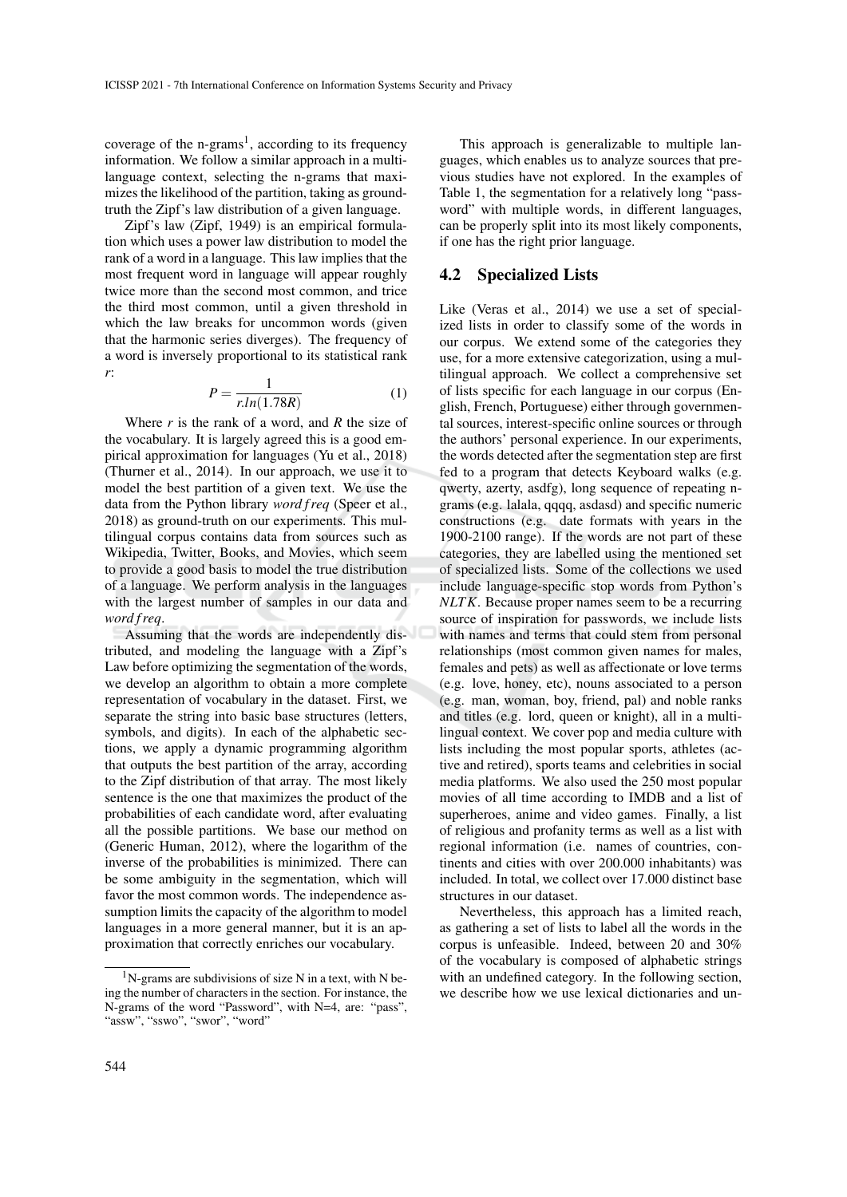coverage of the n-grams<sup>1</sup>, according to its frequency information. We follow a similar approach in a multilanguage context, selecting the n-grams that maximizes the likelihood of the partition, taking as groundtruth the Zipf's law distribution of a given language.

Zipf's law (Zipf, 1949) is an empirical formulation which uses a power law distribution to model the rank of a word in a language. This law implies that the most frequent word in language will appear roughly twice more than the second most common, and trice the third most common, until a given threshold in which the law breaks for uncommon words (given that the harmonic series diverges). The frequency of a word is inversely proportional to its statistical rank *r*:

$$
P = \frac{1}{r \cdot ln(1.78R)}\tag{1}
$$

Where *r* is the rank of a word, and *R* the size of the vocabulary. It is largely agreed this is a good empirical approximation for languages (Yu et al., 2018) (Thurner et al., 2014). In our approach, we use it to model the best partition of a given text. We use the data from the Python library *word f req* (Speer et al., 2018) as ground-truth on our experiments. This multilingual corpus contains data from sources such as Wikipedia, Twitter, Books, and Movies, which seem to provide a good basis to model the true distribution of a language. We perform analysis in the languages with the largest number of samples in our data and *word f req*.

Assuming that the words are independently distributed, and modeling the language with a Zipf's Law before optimizing the segmentation of the words, we develop an algorithm to obtain a more complete representation of vocabulary in the dataset. First, we separate the string into basic base structures (letters, symbols, and digits). In each of the alphabetic sections, we apply a dynamic programming algorithm that outputs the best partition of the array, according to the Zipf distribution of that array. The most likely sentence is the one that maximizes the product of the probabilities of each candidate word, after evaluating all the possible partitions. We base our method on (Generic Human, 2012), where the logarithm of the inverse of the probabilities is minimized. There can be some ambiguity in the segmentation, which will favor the most common words. The independence assumption limits the capacity of the algorithm to model languages in a more general manner, but it is an approximation that correctly enriches our vocabulary.

This approach is generalizable to multiple languages, which enables us to analyze sources that previous studies have not explored. In the examples of Table 1, the segmentation for a relatively long "password" with multiple words, in different languages, can be properly split into its most likely components, if one has the right prior language.

#### 4.2 Specialized Lists

Like (Veras et al., 2014) we use a set of specialized lists in order to classify some of the words in our corpus. We extend some of the categories they use, for a more extensive categorization, using a multilingual approach. We collect a comprehensive set of lists specific for each language in our corpus (English, French, Portuguese) either through governmental sources, interest-specific online sources or through the authors' personal experience. In our experiments, the words detected after the segmentation step are first fed to a program that detects Keyboard walks (e.g. qwerty, azerty, asdfg), long sequence of repeating ngrams (e.g. lalala, qqqq, asdasd) and specific numeric constructions (e.g. date formats with years in the 1900-2100 range). If the words are not part of these categories, they are labelled using the mentioned set of specialized lists. Some of the collections we used include language-specific stop words from Python's *NLTK*. Because proper names seem to be a recurring source of inspiration for passwords, we include lists with names and terms that could stem from personal relationships (most common given names for males, females and pets) as well as affectionate or love terms (e.g. love, honey, etc), nouns associated to a person (e.g. man, woman, boy, friend, pal) and noble ranks and titles (e.g. lord, queen or knight), all in a multilingual context. We cover pop and media culture with lists including the most popular sports, athletes (active and retired), sports teams and celebrities in social media platforms. We also used the 250 most popular movies of all time according to IMDB and a list of superheroes, anime and video games. Finally, a list of religious and profanity terms as well as a list with regional information (i.e. names of countries, continents and cities with over 200.000 inhabitants) was included. In total, we collect over 17.000 distinct base structures in our dataset.

Nevertheless, this approach has a limited reach, as gathering a set of lists to label all the words in the corpus is unfeasible. Indeed, between 20 and 30% of the vocabulary is composed of alphabetic strings with an undefined category. In the following section, we describe how we use lexical dictionaries and un-

 $1$ N-grams are subdivisions of size N in a text, with N being the number of characters in the section. For instance, the N-grams of the word "Password", with N=4, are: "pass", "assw", "sswo", "swor", "word"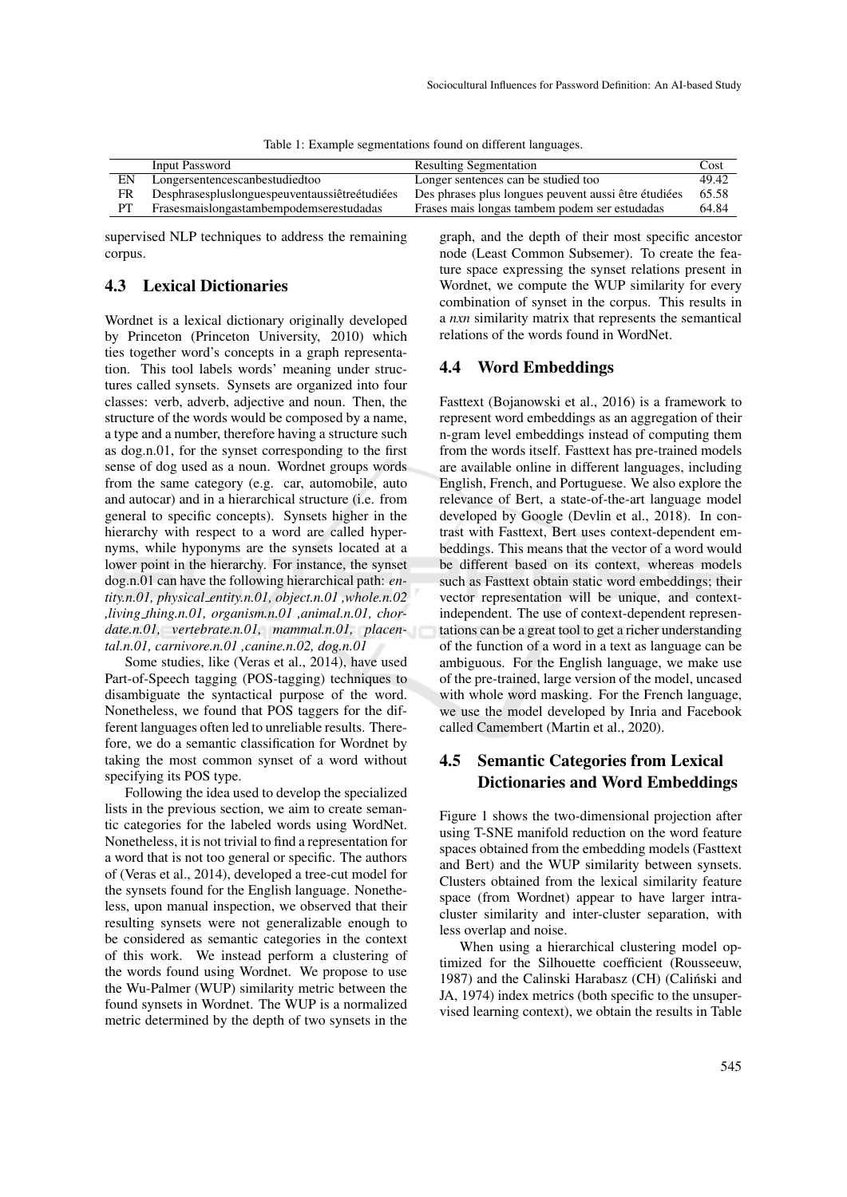|  |  | Table 1: Example segmentations found on different languages. |
|--|--|--------------------------------------------------------------|
|--|--|--------------------------------------------------------------|

|    | Input Password                                     | <b>Resulting Segmentation</b>                        | Cost  |
|----|----------------------------------------------------|------------------------------------------------------|-------|
| EΝ | Longersentencescanbestudiedtoo                     | Longer sentences can be studied too                  | 49.42 |
| FR | Desphrases plus longues peuventaus siètre étudiées | Des phrases plus longues peuvent aussi être étudiées | 65.58 |
| PT | Frasesmaislongastambempodemserestudadas            | Frases mais longas tambem podem ser estudadas        | 64.84 |

supervised NLP techniques to address the remaining corpus.

### 4.3 Lexical Dictionaries

Wordnet is a lexical dictionary originally developed by Princeton (Princeton University, 2010) which ties together word's concepts in a graph representation. This tool labels words' meaning under structures called synsets. Synsets are organized into four classes: verb, adverb, adjective and noun. Then, the structure of the words would be composed by a name, a type and a number, therefore having a structure such as dog.n.01, for the synset corresponding to the first sense of dog used as a noun. Wordnet groups words from the same category (e.g. car, automobile, auto and autocar) and in a hierarchical structure (i.e. from general to specific concepts). Synsets higher in the hierarchy with respect to a word are called hypernyms, while hyponyms are the synsets located at a lower point in the hierarchy. For instance, the synset dog.n.01 can have the following hierarchical path: *entity.n.01, physical entity.n.01, object.n.01 ,whole.n.02 ,living thing.n.01, organism.n.01 ,animal.n.01, chordate.n.01, vertebrate.n.01, mammal.n.01, placental.n.01, carnivore.n.01 ,canine.n.02, dog.n.01*

Some studies, like (Veras et al., 2014), have used Part-of-Speech tagging (POS-tagging) techniques to disambiguate the syntactical purpose of the word. Nonetheless, we found that POS taggers for the different languages often led to unreliable results. Therefore, we do a semantic classification for Wordnet by taking the most common synset of a word without specifying its POS type.

Following the idea used to develop the specialized lists in the previous section, we aim to create semantic categories for the labeled words using WordNet. Nonetheless, it is not trivial to find a representation for a word that is not too general or specific. The authors of (Veras et al., 2014), developed a tree-cut model for the synsets found for the English language. Nonetheless, upon manual inspection, we observed that their resulting synsets were not generalizable enough to be considered as semantic categories in the context of this work. We instead perform a clustering of the words found using Wordnet. We propose to use the Wu-Palmer (WUP) similarity metric between the found synsets in Wordnet. The WUP is a normalized metric determined by the depth of two synsets in the

graph, and the depth of their most specific ancestor node (Least Common Subsemer). To create the feature space expressing the synset relations present in Wordnet, we compute the WUP similarity for every combination of synset in the corpus. This results in a *nxn* similarity matrix that represents the semantical relations of the words found in WordNet.

#### 4.4 Word Embeddings

Fasttext (Bojanowski et al., 2016) is a framework to represent word embeddings as an aggregation of their n-gram level embeddings instead of computing them from the words itself. Fasttext has pre-trained models are available online in different languages, including English, French, and Portuguese. We also explore the relevance of Bert, a state-of-the-art language model developed by Google (Devlin et al., 2018). In contrast with Fasttext, Bert uses context-dependent embeddings. This means that the vector of a word would be different based on its context, whereas models such as Fasttext obtain static word embeddings; their vector representation will be unique, and contextindependent. The use of context-dependent representations can be a great tool to get a richer understanding of the function of a word in a text as language can be ambiguous. For the English language, we make use of the pre-trained, large version of the model, uncased with whole word masking. For the French language, we use the model developed by Inria and Facebook called Camembert (Martin et al., 2020).

### 4.5 Semantic Categories from Lexical Dictionaries and Word Embeddings

Figure 1 shows the two-dimensional projection after using T-SNE manifold reduction on the word feature spaces obtained from the embedding models (Fasttext and Bert) and the WUP similarity between synsets. Clusters obtained from the lexical similarity feature space (from Wordnet) appear to have larger intracluster similarity and inter-cluster separation, with less overlap and noise.

When using a hierarchical clustering model optimized for the Silhouette coefficient (Rousseeuw, 1987) and the Calinski Harabasz (CH) (Caliński and JA, 1974) index metrics (both specific to the unsupervised learning context), we obtain the results in Table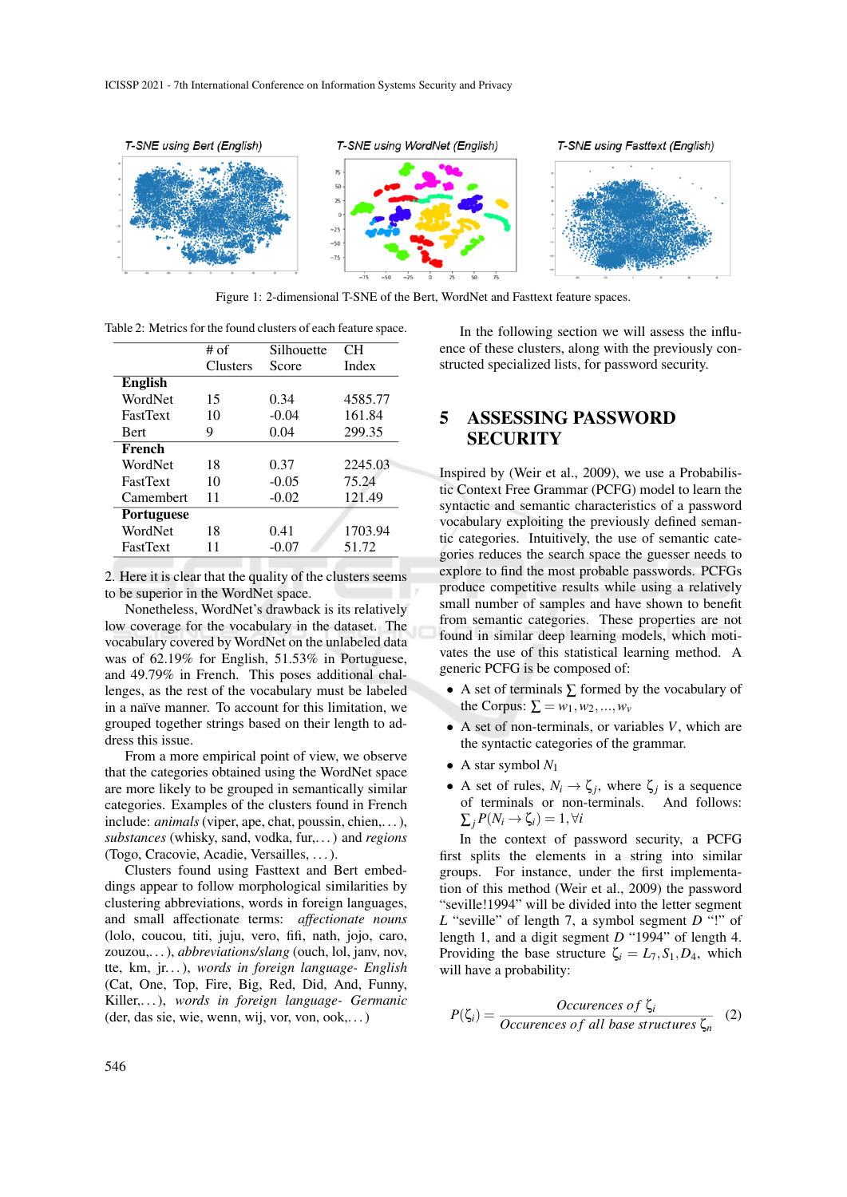

Figure 1: 2-dimensional T-SNE of the Bert, WordNet and Fasttext feature spaces.

Table 2: Metrics for the found clusters of each feature space.

|                   | $#$ of   | Silhouette | CН      |
|-------------------|----------|------------|---------|
|                   | Clusters | Score      | Index   |
| <b>English</b>    |          |            |         |
| WordNet           | 15       | 0.34       | 4585.77 |
| <b>FastText</b>   | 10       | $-0.04$    | 161.84  |
| <b>Bert</b>       | 9        | 0.04       | 299.35  |
| French            |          |            |         |
| WordNet           | 18       | 0.37       | 2245.03 |
| <b>FastText</b>   | 10       | $-0.05$    | 75.24   |
| Camembert         | 11       | $-0.02$    | 121.49  |
| <b>Portuguese</b> |          |            |         |
| WordNet           | 18       | 0.41       | 1703.94 |
| <b>FastText</b>   | 11       | $-0.07$    | 51.72   |

2. Here it is clear that the quality of the clusters seems to be superior in the WordNet space.

Nonetheless, WordNet's drawback is its relatively low coverage for the vocabulary in the dataset. The vocabulary covered by WordNet on the unlabeled data was of 62.19% for English, 51.53% in Portuguese, and 49.79% in French. This poses additional challenges, as the rest of the vocabulary must be labeled in a naïve manner. To account for this limitation, we grouped together strings based on their length to address this issue.

From a more empirical point of view, we observe that the categories obtained using the WordNet space are more likely to be grouped in semantically similar categories. Examples of the clusters found in French include: *animals* (viper, ape, chat, poussin, chien,...), *substances* (whisky, sand, vodka, fur,. . . ) and *regions* (Togo, Cracovie, Acadie, Versailles, . . . ).

Clusters found using Fasttext and Bert embeddings appear to follow morphological similarities by clustering abbreviations, words in foreign languages, and small affectionate terms: *affectionate nouns* (lolo, coucou, titi, juju, vero, fifi, nath, jojo, caro, zouzou,. . . ), *abbreviations/slang* (ouch, lol, janv, nov, tte, km, jr. . . ), *words in foreign language- English* (Cat, One, Top, Fire, Big, Red, Did, And, Funny, Killer,. . . ), *words in foreign language- Germanic* (der, das sie, wie, wenn, wij, vor, von, ook,. . . )

In the following section we will assess the influence of these clusters, along with the previously constructed specialized lists, for password security.

# 5 ASSESSING PASSWORD **SECURITY**

Inspired by (Weir et al., 2009), we use a Probabilistic Context Free Grammar (PCFG) model to learn the syntactic and semantic characteristics of a password vocabulary exploiting the previously defined semantic categories. Intuitively, the use of semantic categories reduces the search space the guesser needs to explore to find the most probable passwords. PCFGs produce competitive results while using a relatively small number of samples and have shown to benefit from semantic categories. These properties are not found in similar deep learning models, which motivates the use of this statistical learning method. A generic PCFG is be composed of:

- A set of terminals ∑ formed by the vocabulary of the Corpus:  $\Sigma = w_1, w_2, ..., w_\nu$
- A set of non-terminals, or variables *V*, which are the syntactic categories of the grammar.
- A star symbol  $N_1$
- A set of rules,  $N_i \rightarrow \zeta_j$ , where  $\zeta_j$  is a sequence of terminals or non-terminals. And follows:  $\sum_i P(N_i \rightarrow \zeta_i) = 1, \forall i$

In the context of password security, a PCFG first splits the elements in a string into similar groups. For instance, under the first implementation of this method (Weir et al., 2009) the password "seville!1994" will be divided into the letter segment *L* "seville" of length 7, a symbol segment *D* "!" of length 1, and a digit segment *D* "1994" of length 4. Providing the base structure  $\zeta_i = L_7, S_1, D_4$ , which will have a probability:

$$
P(\zeta_i) = \frac{Occureness \ of \ \zeta_i}{Occureness \ of \ all \ base \ structures \ \zeta_n} \quad (2)
$$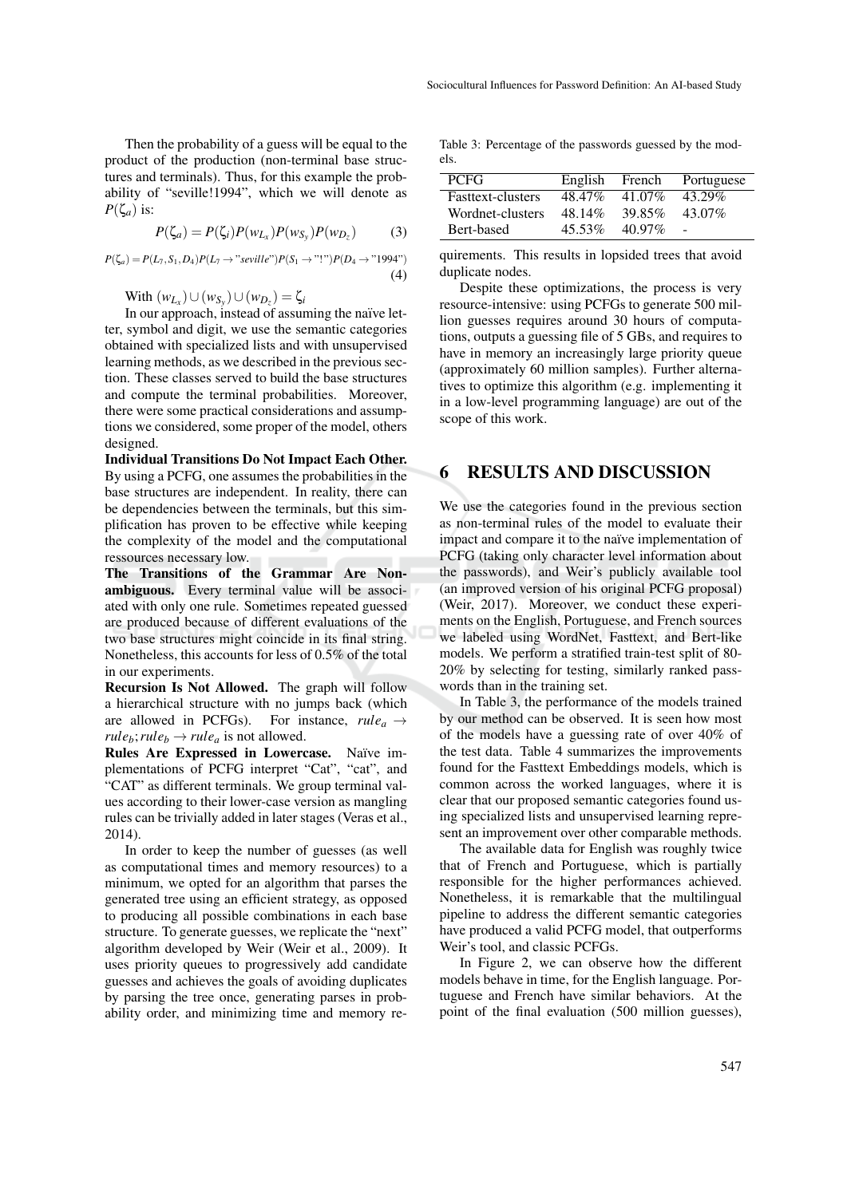Then the probability of a guess will be equal to the product of the production (non-terminal base structures and terminals). Thus, for this example the probability of "seville!1994", which we will denote as  $P(\zeta_a)$  is:

$$
P(\zeta_a) = P(\zeta_i)P(w_{L_x})P(w_{S_y})P(w_{D_z})
$$
 (3)

 $P(\zeta_a) = P(L_7, S_1, D_4)P(L_7 \to "seville")P(S_1 \to "!)^p(D_4 \to "1994")$ (4)

 $W$ ith  $(w_{L_x}) ∪ (w_{S_y}) ∪ (w_{D_z}) = \zeta_i$ 

In our approach, instead of assuming the naïve letter, symbol and digit, we use the semantic categories obtained with specialized lists and with unsupervised learning methods, as we described in the previous section. These classes served to build the base structures and compute the terminal probabilities. Moreover, there were some practical considerations and assumptions we considered, some proper of the model, others designed.

Individual Transitions Do Not Impact Each Other. By using a PCFG, one assumes the probabilities in the base structures are independent. In reality, there can be dependencies between the terminals, but this simplification has proven to be effective while keeping the complexity of the model and the computational ressources necessary low.

The Transitions of the Grammar Are Nonambiguous. Every terminal value will be associated with only one rule. Sometimes repeated guessed are produced because of different evaluations of the two base structures might coincide in its final string. Nonetheless, this accounts for less of 0.5% of the total in our experiments.

Recursion Is Not Allowed. The graph will follow a hierarchical structure with no jumps back (which are allowed in PCFGs). For instance,  $rule_a \rightarrow$  $rule_b; rule_b \rightarrow rule_a$  is not allowed.

Rules Are Expressed in Lowercase. Naïve implementations of PCFG interpret "Cat", "cat", and "CAT" as different terminals. We group terminal values according to their lower-case version as mangling rules can be trivially added in later stages (Veras et al., 2014).

In order to keep the number of guesses (as well as computational times and memory resources) to a minimum, we opted for an algorithm that parses the generated tree using an efficient strategy, as opposed to producing all possible combinations in each base structure. To generate guesses, we replicate the "next" algorithm developed by Weir (Weir et al., 2009). It uses priority queues to progressively add candidate guesses and achieves the goals of avoiding duplicates by parsing the tree once, generating parses in probability order, and minimizing time and memory re-

Table 3: Percentage of the passwords guessed by the models.

| <b>PCFG</b>              | English | French   | Portuguese |
|--------------------------|---------|----------|------------|
| <b>Fasttext-clusters</b> | 48.47%  | 41.07%   | 43.29%     |
| Wordnet-clusters         | 48.14%  | 39.85%   | 43.07%     |
| Bert-based               | 45.53%  | $4097\%$ |            |

quirements. This results in lopsided trees that avoid duplicate nodes.

Despite these optimizations, the process is very resource-intensive: using PCFGs to generate 500 million guesses requires around 30 hours of computations, outputs a guessing file of 5 GBs, and requires to have in memory an increasingly large priority queue (approximately 60 million samples). Further alternatives to optimize this algorithm (e.g. implementing it in a low-level programming language) are out of the scope of this work.

### 6 RESULTS AND DISCUSSION

We use the categories found in the previous section as non-terminal rules of the model to evaluate their impact and compare it to the naïve implementation of PCFG (taking only character level information about the passwords), and Weir's publicly available tool (an improved version of his original PCFG proposal) (Weir, 2017). Moreover, we conduct these experiments on the English, Portuguese, and French sources we labeled using WordNet, Fasttext, and Bert-like models. We perform a stratified train-test split of 80- 20% by selecting for testing, similarly ranked passwords than in the training set.

In Table 3, the performance of the models trained by our method can be observed. It is seen how most of the models have a guessing rate of over 40% of the test data. Table 4 summarizes the improvements found for the Fasttext Embeddings models, which is common across the worked languages, where it is clear that our proposed semantic categories found using specialized lists and unsupervised learning represent an improvement over other comparable methods.

The available data for English was roughly twice that of French and Portuguese, which is partially responsible for the higher performances achieved. Nonetheless, it is remarkable that the multilingual pipeline to address the different semantic categories have produced a valid PCFG model, that outperforms Weir's tool, and classic PCFGs.

In Figure 2, we can observe how the different models behave in time, for the English language. Portuguese and French have similar behaviors. At the point of the final evaluation (500 million guesses),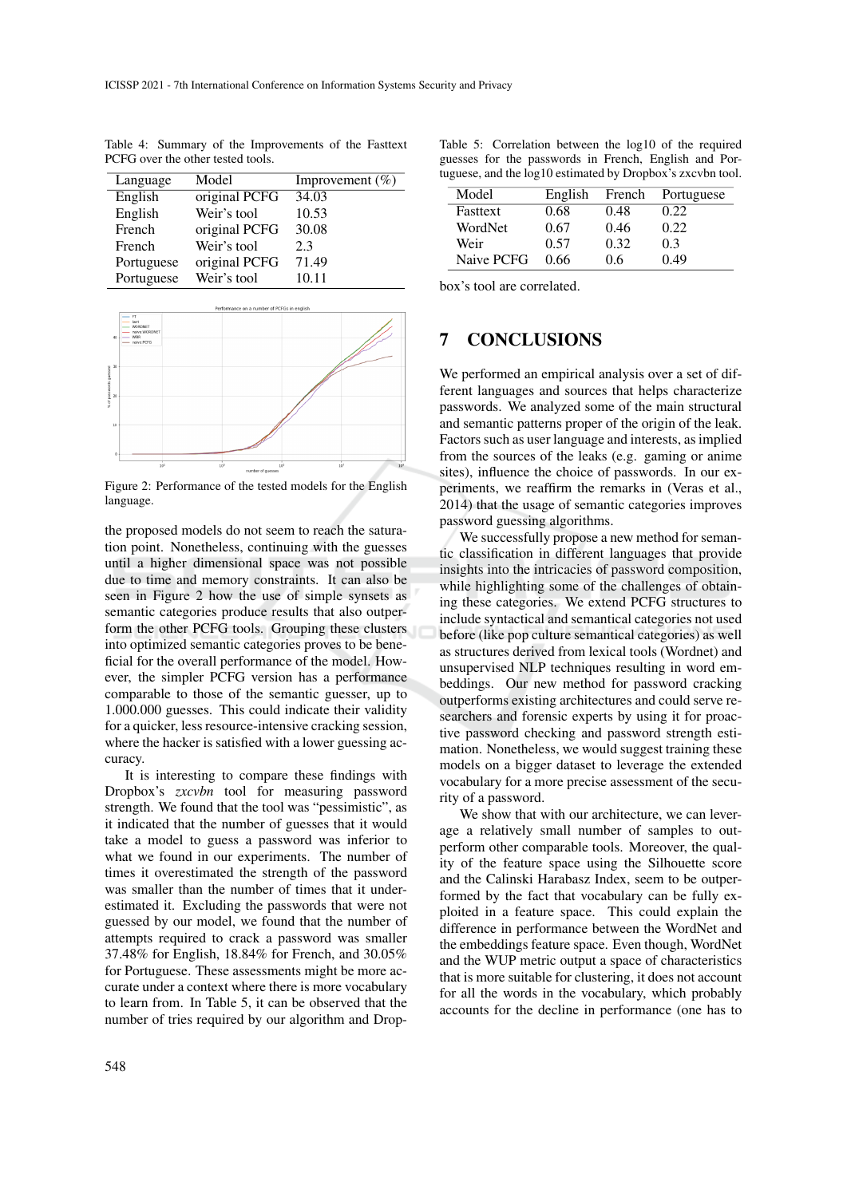Table 4: Summary of the Improvements of the Fasttext PCFG over the other tested tools.

| Language   | Model         | Improvement $(\%)$ |
|------------|---------------|--------------------|
| English    | original PCFG | 34.03              |
| English    | Weir's tool   | 10.53              |
| French     | original PCFG | 30.08              |
| French     | Weir's tool   | 2.3                |
| Portuguese | original PCFG | 71.49              |
| Portuguese | Weir's tool   | 10.11              |



Figure 2: Performance of the tested models for the English language.

the proposed models do not seem to reach the saturation point. Nonetheless, continuing with the guesses until a higher dimensional space was not possible due to time and memory constraints. It can also be seen in Figure 2 how the use of simple synsets as semantic categories produce results that also outperform the other PCFG tools. Grouping these clusters into optimized semantic categories proves to be beneficial for the overall performance of the model. However, the simpler PCFG version has a performance comparable to those of the semantic guesser, up to 1.000.000 guesses. This could indicate their validity for a quicker, less resource-intensive cracking session, where the hacker is satisfied with a lower guessing accuracy.

It is interesting to compare these findings with Dropbox's *zxcvbn* tool for measuring password strength. We found that the tool was "pessimistic", as it indicated that the number of guesses that it would take a model to guess a password was inferior to what we found in our experiments. The number of times it overestimated the strength of the password was smaller than the number of times that it underestimated it. Excluding the passwords that were not guessed by our model, we found that the number of attempts required to crack a password was smaller 37.48% for English, 18.84% for French, and 30.05% for Portuguese. These assessments might be more accurate under a context where there is more vocabulary to learn from. In Table 5, it can be observed that the number of tries required by our algorithm and Drop-

Table 5: Correlation between the log10 of the required guesses for the passwords in French, English and Portuguese, and the log10 estimated by Dropbox's zxcvbn tool.

| Model      | English | French | Portuguese |
|------------|---------|--------|------------|
| Fasttext   | 0.68    | 0.48   | 0.22       |
| WordNet    | 0.67    | 0.46   | 0.22       |
| Weir       | 0.57    | 0.32   | 0.3        |
| Naive PCFG | 0.66    | 06     | 0.49       |

box's tool are correlated.

### 7 CONCLUSIONS

We performed an empirical analysis over a set of different languages and sources that helps characterize passwords. We analyzed some of the main structural and semantic patterns proper of the origin of the leak. Factors such as user language and interests, as implied from the sources of the leaks (e.g. gaming or anime sites), influence the choice of passwords. In our experiments, we reaffirm the remarks in (Veras et al., 2014) that the usage of semantic categories improves password guessing algorithms.

We successfully propose a new method for semantic classification in different languages that provide insights into the intricacies of password composition, while highlighting some of the challenges of obtaining these categories. We extend PCFG structures to include syntactical and semantical categories not used before (like pop culture semantical categories) as well as structures derived from lexical tools (Wordnet) and unsupervised NLP techniques resulting in word embeddings. Our new method for password cracking outperforms existing architectures and could serve researchers and forensic experts by using it for proactive password checking and password strength estimation. Nonetheless, we would suggest training these models on a bigger dataset to leverage the extended vocabulary for a more precise assessment of the security of a password.

We show that with our architecture, we can leverage a relatively small number of samples to outperform other comparable tools. Moreover, the quality of the feature space using the Silhouette score and the Calinski Harabasz Index, seem to be outperformed by the fact that vocabulary can be fully exploited in a feature space. This could explain the difference in performance between the WordNet and the embeddings feature space. Even though, WordNet and the WUP metric output a space of characteristics that is more suitable for clustering, it does not account for all the words in the vocabulary, which probably accounts for the decline in performance (one has to